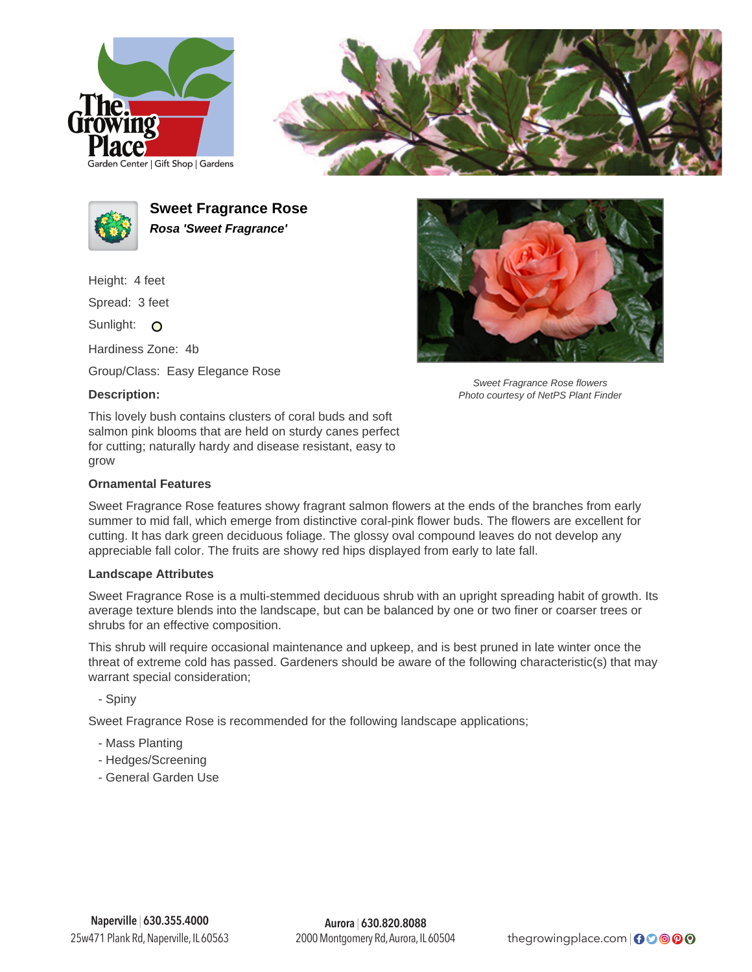





**Sweet Fragrance Rose Rosa 'Sweet Fragrance'**

Height: 4 feet

Spread: 3 feet

Sunlight: O

Hardiness Zone: 4b

Group/Class: Easy Elegance Rose

## **Description:**

This lovely bush contains clusters of coral buds and soft salmon pink blooms that are held on sturdy canes perfect for cutting; naturally hardy and disease resistant, easy to grow

## **Ornamental Features**

Sweet Fragrance Rose features showy fragrant salmon flowers at the ends of the branches from early summer to mid fall, which emerge from distinctive coral-pink flower buds. The flowers are excellent for cutting. It has dark green deciduous foliage. The glossy oval compound leaves do not develop any appreciable fall color. The fruits are showy red hips displayed from early to late fall.

## **Landscape Attributes**

Sweet Fragrance Rose is a multi-stemmed deciduous shrub with an upright spreading habit of growth. Its average texture blends into the landscape, but can be balanced by one or two finer or coarser trees or shrubs for an effective composition.

This shrub will require occasional maintenance and upkeep, and is best pruned in late winter once the threat of extreme cold has passed. Gardeners should be aware of the following characteristic(s) that may warrant special consideration;

- Spiny

Sweet Fragrance Rose is recommended for the following landscape applications;

- Mass Planting
- Hedges/Screening
- General Garden Use



Sweet Fragrance Rose flowers Photo courtesy of NetPS Plant Finder